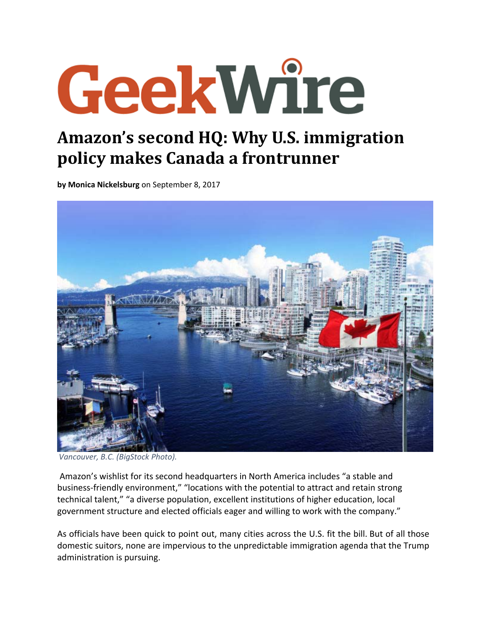## GeekWire

## **Amazon's second HQ: Why U.S. immigration policy makes Canada a frontrunner**

**by Monica Nickelsburg** on September 8, 2017



*Vancouver, B.C. (BigStock Photo).*

Amazon's wishlist for its second headquarters in North America includes "a stable and business‐friendly environment," "locations with the potential to attract and retain strong technical talent," "a diverse population, excellent institutions of higher education, local government structure and elected officials eager and willing to work with the company."

As officials have been quick to point out, many cities across the U.S. fit the bill. But of all those domestic suitors, none are impervious to the unpredictable immigration agenda that the Trump administration is pursuing.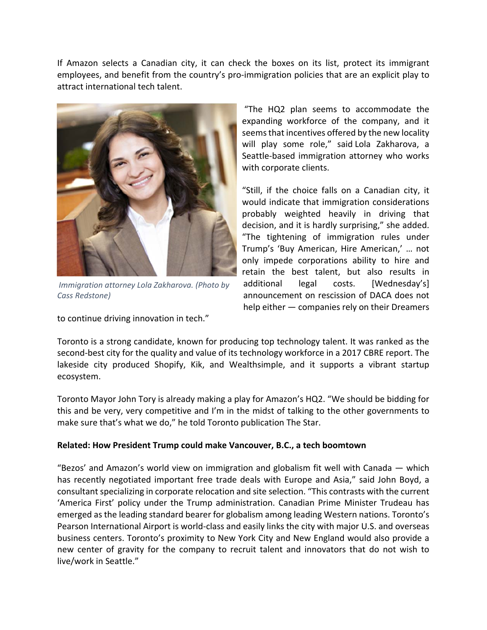If Amazon selects a Canadian city, it can check the boxes on its list, protect its immigrant employees, and benefit from the country's pro-immigration policies that are an explicit play to attract international tech talent.



*Immigration attorney Lola Zakharova. (Photo by Cass Redstone)*

to continue driving innovation in tech."

"The HQ2 plan seems to accommodate the expanding workforce of the company, and it seems that incentives offered by the new locality will play some role," said Lola Zakharova, a Seattle‐based immigration attorney who works with corporate clients.

"Still, if the choice falls on a Canadian city, it would indicate that immigration considerations probably weighted heavily in driving that decision, and it is hardly surprising," she added. "The tightening of immigration rules under Trump's 'Buy American, Hire American,' … not only impede corporations ability to hire and retain the best talent, but also results in additional legal costs. [Wednesday's] announcement on rescission of DACA does not help either — companies rely on their Dreamers

Toronto is a strong candidate, known for producing top technology talent. It was ranked as the second-best city for the quality and value of its technology workforce in a 2017 CBRE report. The lakeside city produced Shopify, Kik, and Wealthsimple, and it supports a vibrant startup ecosystem.

Toronto Mayor John Tory is already making a play for Amazon's HQ2. "We should be bidding for this and be very, very competitive and I'm in the midst of talking to the other governments to make sure that's what we do," he told Toronto publication The Star.

## **Related: How President Trump could make Vancouver, B.C., a tech boomtown**

"Bezos' and Amazon's world view on immigration and globalism fit well with Canada — which has recently negotiated important free trade deals with Europe and Asia," said John Boyd, a consultant specializing in corporate relocation and site selection. "This contrasts with the current 'America First' policy under the Trump administration. Canadian Prime Minister Trudeau has emerged asthe leading standard bearer for globalism among leading Western nations. Toronto's Pearson International Airport is world‐class and easily links the city with major U.S. and overseas business centers. Toronto's proximity to New York City and New England would also provide a new center of gravity for the company to recruit talent and innovators that do not wish to live/work in Seattle."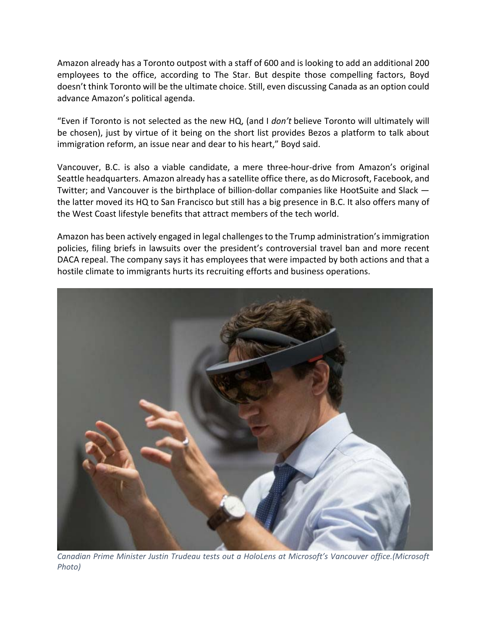Amazon already has a Toronto outpost with a staff of 600 and is looking to add an additional 200 employees to the office, according to The Star. But despite those compelling factors, Boyd doesn't think Toronto will be the ultimate choice. Still, even discussing Canada as an option could advance Amazon's political agenda.

"Even if Toronto is not selected as the new HQ, (and I *don't* believe Toronto will ultimately will be chosen), just by virtue of it being on the short list provides Bezos a platform to talk about immigration reform, an issue near and dear to his heart," Boyd said.

Vancouver, B.C. is also a viable candidate, a mere three‐hour‐drive from Amazon's original Seattle headquarters. Amazon already has a satellite office there, as do Microsoft, Facebook, and Twitter; and Vancouver is the birthplace of billion‐dollar companies like HootSuite and Slack the latter moved its HQ to San Francisco but still has a big presence in B.C. It also offers many of the West Coast lifestyle benefits that attract members of the tech world.

Amazon has been actively engaged in legal challengesto the Trump administration'simmigration policies, filing briefs in lawsuits over the president's controversial travel ban and more recent DACA repeal. The company says it has employees that were impacted by both actions and that a hostile climate to immigrants hurts its recruiting efforts and business operations.



*Canadian Prime Minister Justin Trudeau tests out a HoloLens at Microsoft's Vancouver office.(Microsoft Photo)*